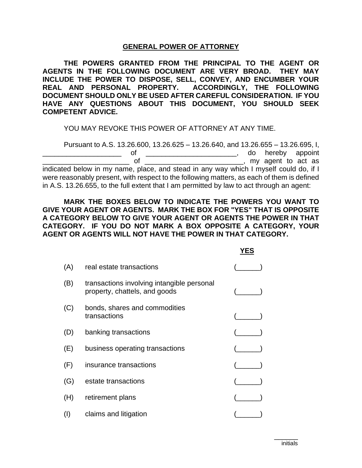### **GENERAL POWER OF ATTORNEY**

**THE POWERS GRANTED FROM THE PRINCIPAL TO THE AGENT OR AGENTS IN THE FOLLOWING DOCUMENT ARE VERY BROAD. THEY MAY INCLUDE THE POWER TO DISPOSE, SELL, CONVEY, AND ENCUMBER YOUR REAL AND PERSONAL PROPERTY. ACCORDINGLY, THE FOLLOWING DOCUMENT SHOULD ONLY BE USED AFTER CAREFUL CONSIDERATION. IF YOU HAVE ANY QUESTIONS ABOUT THIS DOCUMENT, YOU SHOULD SEEK COMPETENT ADVICE.**

YOU MAY REVOKE THIS POWER OF ATTORNEY AT ANY TIME.

Pursuant to A.S. 13.26.600, 13.26.625 – 13.26.640, and 13.26.655 – 13.26.695, I, \_\_\_\_\_\_\_\_\_\_\_\_\_\_\_\_\_\_\_\_ of \_\_\_\_\_\_\_\_\_\_\_\_\_\_\_\_\_\_\_\_\_\_\_, do hereby appoint of <u>the contract of the contract of the contract of the contract of the contract as</u> indicated below in my name, place, and stead in any way which I myself could do, if I were reasonably present, with respect to the following matters, as each of them is defined in A.S. 13.26.655, to the full extent that I am permitted by law to act through an agent:

**MARK THE BOXES BELOW TO INDICATE THE POWERS YOU WANT TO GIVE YOUR AGENT OR AGENTS. MARK THE BOX FOR "YES" THAT IS OPPOSITE A CATEGORY BELOW TO GIVE YOUR AGENT OR AGENTS THE POWER IN THAT CATEGORY. IF YOU DO NOT MARK A BOX OPPOSITE A CATEGORY, YOUR AGENT OR AGENTS WILL NOT HAVE THE POWER IN THAT CATEGORY.**

**YES**

|     |                                                                             | . בט |
|-----|-----------------------------------------------------------------------------|------|
| (A) | real estate transactions                                                    |      |
| (B) | transactions involving intangible personal<br>property, chattels, and goods |      |
| (C) | bonds, shares and commodities<br>transactions                               |      |
| (D) | banking transactions                                                        |      |
| (E) | business operating transactions                                             |      |
| (F) | insurance transactions                                                      |      |
| (G) | estate transactions                                                         |      |
| (H) | retirement plans                                                            |      |
| (1) | claims and litigation                                                       |      |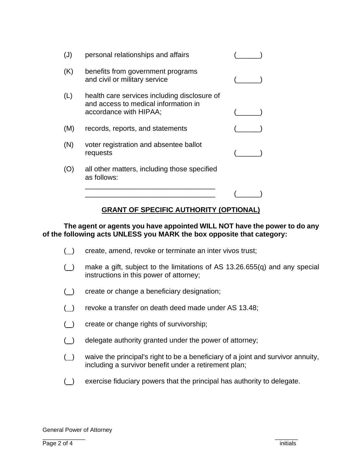| $(\mathsf{J})$ | personal relationships and affairs                                                                             |  |
|----------------|----------------------------------------------------------------------------------------------------------------|--|
| (K)            | benefits from government programs<br>and civil or military service                                             |  |
| (L)            | health care services including disclosure of<br>and access to medical information in<br>accordance with HIPAA; |  |
| (M)            | records, reports, and statements                                                                               |  |
| (N)            | voter registration and absentee ballot<br>requests                                                             |  |
| (O)            | all other matters, including those specified<br>as follows:                                                    |  |
|                |                                                                                                                |  |

### **GRANT OF SPECIFIC AUTHORITY (OPTIONAL)**

### **The agent or agents you have appointed WILL NOT have the power to do any of the following acts UNLESS you MARK the box opposite that category:**

- ( ) create, amend, revoke or terminate an inter vivos trust;
- ( $\Box$ ) make a gift, subject to the limitations of AS 13.26.655(q) and any special instructions in this power of attorney;
- (
(
(  $\Box$ ) create or change a beneficiary designation;
- ( ) revoke a transfer on death deed made under AS 13.48;
- ( ) create or change rights of survivorship;
- $($ ) delegate authority granted under the power of attorney;
- ( ) waive the principal's right to be a beneficiary of a joint and survivor annuity, including a survivor benefit under a retirement plan;
- (\_) exercise fiduciary powers that the principal has authority to delegate.

\_\_\_\_\_\_\_\_\_\_\_\_\_ \_\_\_\_\_\_\_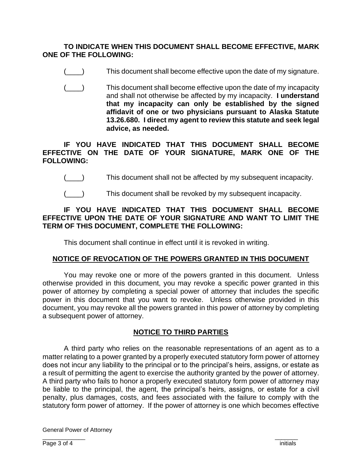### **TO INDICATE WHEN THIS DOCUMENT SHALL BECOME EFFECTIVE, MARK ONE OF THE FOLLOWING:**

- This document shall become effective upon the date of my signature.
- (\_\_\_\_) This document shall become effective upon the date of my incapacity and shall not otherwise be affected by my incapacity. **I understand that my incapacity can only be established by the signed affidavit of one or two physicians pursuant to Alaska Statute 13.26.680. I direct my agent to review this statute and seek legal advice, as needed.**

## **IF YOU HAVE INDICATED THAT THIS DOCUMENT SHALL BECOME EFFECTIVE ON THE DATE OF YOUR SIGNATURE, MARK ONE OF THE FOLLOWING:**

- (\_\_\_\_) This document shall not be affected by my subsequent incapacity.
- (\_\_\_\_) This document shall be revoked by my subsequent incapacity.

## **IF YOU HAVE INDICATED THAT THIS DOCUMENT SHALL BECOME EFFECTIVE UPON THE DATE OF YOUR SIGNATURE AND WANT TO LIMIT THE TERM OF THIS DOCUMENT, COMPLETE THE FOLLOWING:**

This document shall continue in effect until it is revoked in writing.

# **NOTICE OF REVOCATION OF THE POWERS GRANTED IN THIS DOCUMENT**

You may revoke one or more of the powers granted in this document. Unless otherwise provided in this document, you may revoke a specific power granted in this power of attorney by completing a special power of attorney that includes the specific power in this document that you want to revoke. Unless otherwise provided in this document, you may revoke all the powers granted in this power of attorney by completing a subsequent power of attorney.

# **NOTICE TO THIRD PARTIES**

A third party who relies on the reasonable representations of an agent as to a matter relating to a power granted by a properly executed statutory form power of attorney does not incur any liability to the principal or to the principal's heirs, assigns, or estate as a result of permitting the agent to exercise the authority granted by the power of attorney. A third party who fails to honor a properly executed statutory form power of attorney may be liable to the principal, the agent, the principal's heirs, assigns, or estate for a civil penalty, plus damages, costs, and fees associated with the failure to comply with the statutory form power of attorney. If the power of attorney is one which becomes effective

General Power of Attorney \_\_\_\_\_\_\_\_\_\_\_\_\_ \_\_\_\_\_\_\_